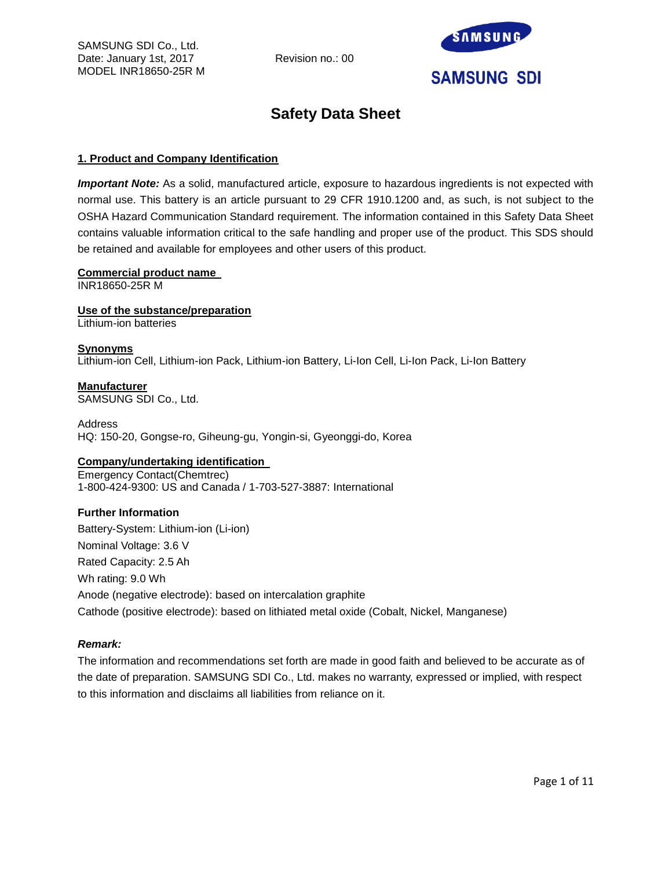

# **Safety Data Sheet**

# **1. Product and Company Identification**

*Important Note:* As a solid, manufactured article, exposure to hazardous ingredients is not expected with normal use. This battery is an article pursuant to 29 CFR 1910.1200 and, as such, is not subject to the OSHA Hazard Communication Standard requirement. The information contained in this Safety Data Sheet contains valuable information critical to the safe handling and proper use of the product. This SDS should be retained and available for employees and other users of this product.

# **Commercial product name**

INR18650-25R M

**Use of the substance/preparation**

Lithium-ion batteries

# **Synonyms**

Lithium-ion Cell, Lithium-ion Pack, Lithium-ion Battery, Li-Ion Cell, Li-Ion Pack, Li-Ion Battery

**Manufacturer** SAMSUNG SDI Co., Ltd.

Address HQ: 150-20, Gongse-ro, Giheung-gu, Yongin-si, Gyeonggi-do, Korea

# **Company/undertaking identification**

Emergency Contact(Chemtrec) 1-800-424-9300: US and Canada / 1-703-527-3887: International

# **Further Information**

Battery-System: Lithium-ion (Li-ion) Nominal Voltage: 3.6 V Rated Capacity: 2.5 Ah Wh rating: 9.0 Wh Anode (negative electrode): based on intercalation graphite Cathode (positive electrode): based on lithiated metal oxide (Cobalt, Nickel, Manganese)

# *Remark:*

The information and recommendations set forth are made in good faith and believed to be accurate as of the date of preparation. SAMSUNG SDI Co., Ltd. makes no warranty, expressed or implied, with respect to this information and disclaims all liabilities from reliance on it.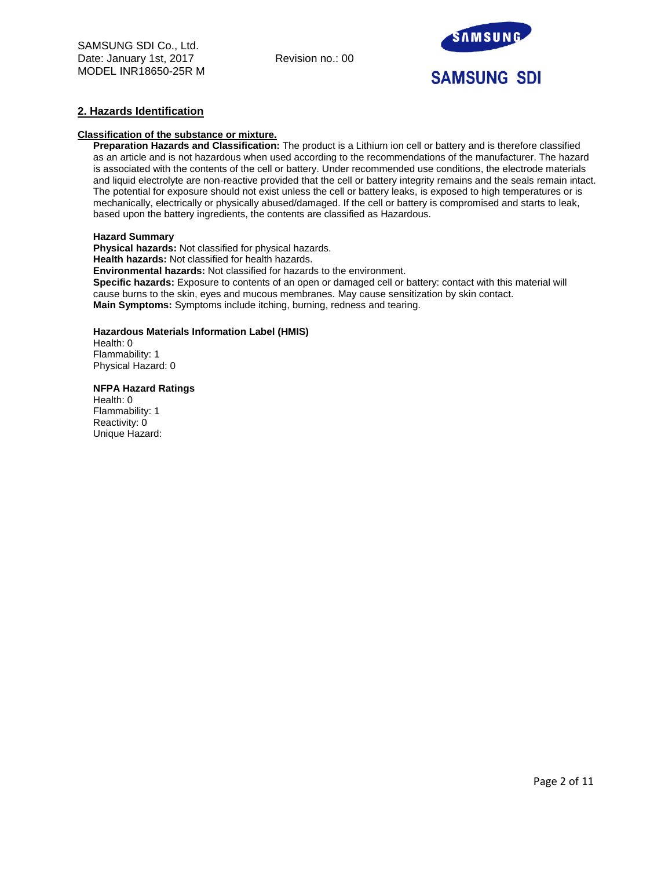

## **2. Hazards Identification**

## **Classification of the substance or mixture.**

**Preparation Hazards and Classification:** The product is a Lithium ion cell or battery and is therefore classified as an article and is not hazardous when used according to the recommendations of the manufacturer. The hazard is associated with the contents of the cell or battery. Under recommended use conditions, the electrode materials and liquid electrolyte are non-reactive provided that the cell or battery integrity remains and the seals remain intact. The potential for exposure should not exist unless the cell or battery leaks, is exposed to high temperatures or is mechanically, electrically or physically abused/damaged. If the cell or battery is compromised and starts to leak, based upon the battery ingredients, the contents are classified as Hazardous.

#### **Hazard Summary**

**Physical hazards:** Not classified for physical hazards. **Health hazards:** Not classified for health hazards. **Environmental hazards:** Not classified for hazards to the environment. **Specific hazards:** Exposure to contents of an open or damaged cell or battery: contact with this material will cause burns to the skin, eyes and mucous membranes. May cause sensitization by skin contact. **Main Symptoms:** Symptoms include itching, burning, redness and tearing.

## **Hazardous Materials Information Label (HMIS)**

Health: 0 Flammability: 1 Physical Hazard: 0

#### **NFPA Hazard Ratings**

Health: 0 Flammability: 1 Reactivity: 0 Unique Hazard: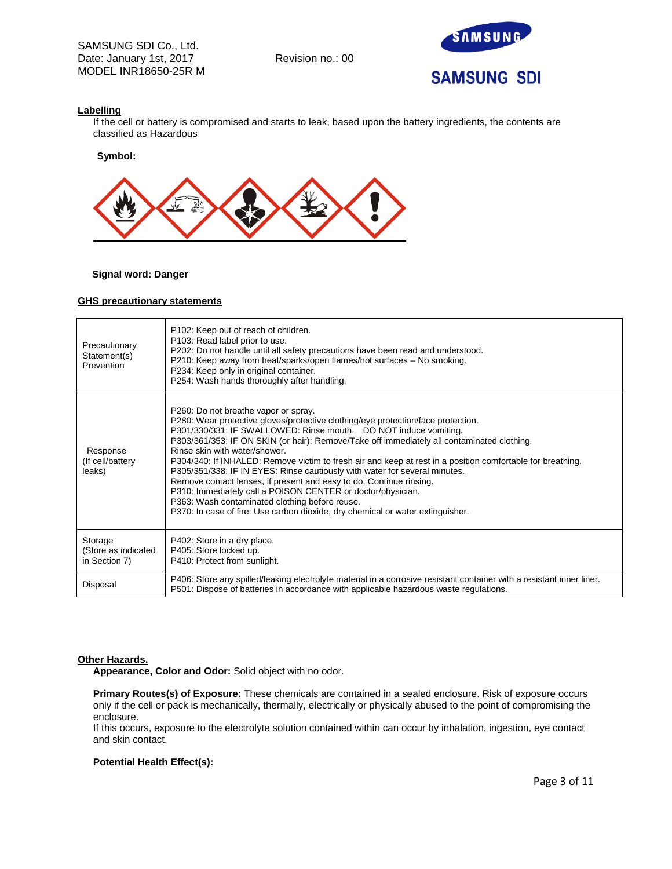

## **Labelling**

If the cell or battery is compromised and starts to leak, based upon the battery ingredients, the contents are classified as Hazardous

**Symbol:** 



## **Signal word: Danger**

#### **GHS precautionary statements**

| Precautionary<br>Statement(s)<br>Prevention     | P102: Keep out of reach of children.<br>P103: Read label prior to use.<br>P202: Do not handle until all safety precautions have been read and understood.<br>P210: Keep away from heat/sparks/open flames/hot surfaces – No smoking.<br>P234: Keep only in original container.<br>P254: Wash hands thoroughly after handling.                                                                                                                                                                                                                                                                                                                                                                                                                                                                     |
|-------------------------------------------------|---------------------------------------------------------------------------------------------------------------------------------------------------------------------------------------------------------------------------------------------------------------------------------------------------------------------------------------------------------------------------------------------------------------------------------------------------------------------------------------------------------------------------------------------------------------------------------------------------------------------------------------------------------------------------------------------------------------------------------------------------------------------------------------------------|
| Response<br>(If cell/battery<br>leaks)          | P260: Do not breathe vapor or spray.<br>P280: Wear protective gloves/protective clothing/eye protection/face protection.<br>P301/330/331: IF SWALLOWED: Rinse mouth. DO NOT induce vomiting.<br>P303/361/353: IF ON SKIN (or hair): Remove/Take off immediately all contaminated clothing.<br>Rinse skin with water/shower.<br>P304/340: If INHALED: Remove victim to fresh air and keep at rest in a position comfortable for breathing.<br>P305/351/338: IF IN EYES: Rinse cautiously with water for several minutes.<br>Remove contact lenses, if present and easy to do. Continue rinsing.<br>P310: Immediately call a POISON CENTER or doctor/physician.<br>P363: Wash contaminated clothing before reuse.<br>P370: In case of fire: Use carbon dioxide, dry chemical or water extinguisher. |
| Storage<br>(Store as indicated<br>in Section 7) | P402: Store in a dry place.<br>P405: Store locked up.<br>P410: Protect from sunlight.                                                                                                                                                                                                                                                                                                                                                                                                                                                                                                                                                                                                                                                                                                             |
| Disposal                                        | P406: Store any spilled/leaking electrolyte material in a corrosive resistant container with a resistant inner liner.<br>P501: Dispose of batteries in accordance with applicable hazardous waste regulations.                                                                                                                                                                                                                                                                                                                                                                                                                                                                                                                                                                                    |

#### **Other Hazards.**

**Appearance, Color and Odor:** Solid object with no odor.

**Primary Routes(s) of Exposure:** These chemicals are contained in a sealed enclosure. Risk of exposure occurs only if the cell or pack is mechanically, thermally, electrically or physically abused to the point of compromising the enclosure.

If this occurs, exposure to the electrolyte solution contained within can occur by inhalation, ingestion, eye contact and skin contact.

#### **Potential Health Effect(s):**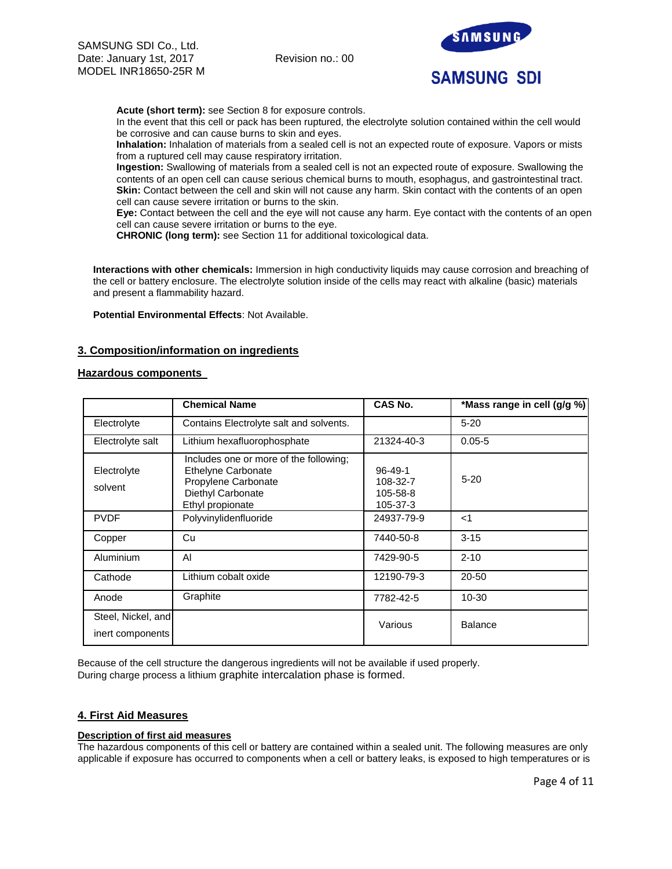

**Acute (short term):** see Section 8 for exposure controls.

In the event that this cell or pack has been ruptured, the electrolyte solution contained within the cell would be corrosive and can cause burns to skin and eyes.

**Inhalation:** Inhalation of materials from a sealed cell is not an expected route of exposure. Vapors or mists from a ruptured cell may cause respiratory irritation.

**Ingestion:** Swallowing of materials from a sealed cell is not an expected route of exposure. Swallowing the contents of an open cell can cause serious chemical burns to mouth, esophagus, and gastrointestinal tract. **Skin:** Contact between the cell and skin will not cause any harm. Skin contact with the contents of an open cell can cause severe irritation or burns to the skin.

**Eye:** Contact between the cell and the eye will not cause any harm. Eye contact with the contents of an open cell can cause severe irritation or burns to the eye.

**CHRONIC (long term):** see Section 11 for additional toxicological data.

**Interactions with other chemicals:** Immersion in high conductivity liquids may cause corrosion and breaching of the cell or battery enclosure. The electrolyte solution inside of the cells may react with alkaline (basic) materials and present a flammability hazard.

**Potential Environmental Effects**: Not Available.

# **3. Composition/information on ingredients**

## **Hazardous components**

|                                        | <b>Chemical Name</b>                                                                                                                | CAS No.                                           | *Mass range in cell (g/g %) |
|----------------------------------------|-------------------------------------------------------------------------------------------------------------------------------------|---------------------------------------------------|-----------------------------|
| Electrolyte                            | Contains Electrolyte salt and solvents.                                                                                             |                                                   | $5 - 20$                    |
| Electrolyte salt                       | Lithium hexafluorophosphate                                                                                                         | 21324-40-3                                        | $0.05 - 5$                  |
| Electrolyte<br>solvent                 | Includes one or more of the following;<br><b>Ethelyne Carbonate</b><br>Propylene Carbonate<br>Diethyl Carbonate<br>Ethyl propionate | $96 - 49 - 1$<br>108-32-7<br>105-58-8<br>105-37-3 | $5 - 20$                    |
| <b>PVDF</b>                            | Polyvinylidenfluoride                                                                                                               | 24937-79-9                                        | $<$ 1                       |
| Copper                                 | Cu                                                                                                                                  | 7440-50-8                                         | $3 - 15$                    |
| Aluminium                              | AI                                                                                                                                  | 7429-90-5                                         | $2 - 10$                    |
| Cathode                                | Lithium cobalt oxide                                                                                                                | 12190-79-3                                        | $20 - 50$                   |
| Anode                                  | Graphite                                                                                                                            | 7782-42-5                                         | $10 - 30$                   |
| Steel, Nickel, and<br>inert components |                                                                                                                                     | Various                                           | <b>Balance</b>              |

Because of the cell structure the dangerous ingredients will not be available if used properly. During charge process a lithium graphite intercalation phase is formed.

## **4. First Aid Measures**

## **Description of first aid measures**

The hazardous components of this cell or battery are contained within a sealed unit. The following measures are only applicable if exposure has occurred to components when a cell or battery leaks, is exposed to high temperatures or is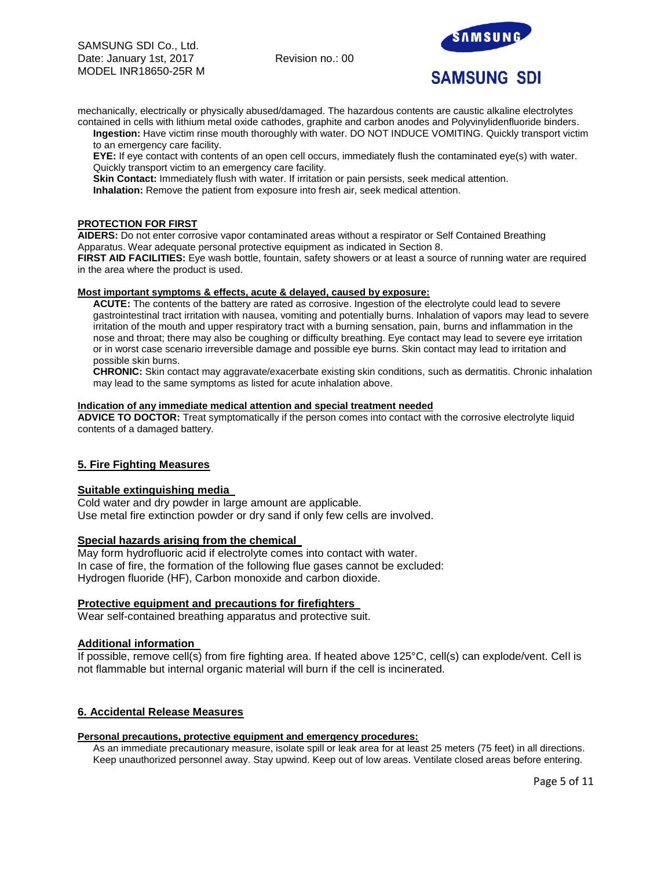

mechanically, electrically or physically abused/damaged. The hazardous contents are caustic alkaline electrolytes contained in cells with lithium metal oxide cathodes, graphite and carbon anodes and Polyvinylidenfluoride binders.

**Ingestion:** Have victim rinse mouth thoroughly with water. DO NOT INDUCE VOMITING. Quickly transport victim to an emergency care facility.

**EYE:** If eye contact with contents of an open cell occurs, immediately flush the contaminated eye(s) with water. Quickly transport victim to an emergency care facility.

**Skin Contact:** Immediately flush with water. If irritation or pain persists, seek medical attention.

**Inhalation:** Remove the patient from exposure into fresh air, seek medical attention.

## **PROTECTION FOR FIRST**

**AIDERS:** Do not enter corrosive vapor contaminated areas without a respirator or Self Contained Breathing Apparatus. Wear adequate personal protective equipment as indicated in Section 8.

**FIRST AID FACILITIES:** Eye wash bottle, fountain, safety showers or at least a source of running water are required in the area where the product is used.

#### **Most important symptoms & effects, acute & delayed, caused by exposure:**

**ACUTE:** The contents of the battery are rated as corrosive. Ingestion of the electrolyte could lead to severe gastrointestinal tract irritation with nausea, vomiting and potentially burns. Inhalation of vapors may lead to severe irritation of the mouth and upper respiratory tract with a burning sensation, pain, burns and inflammation in the nose and throat; there may also be coughing or difficulty breathing. Eye contact may lead to severe eye irritation or in worst case scenario irreversible damage and possible eye burns. Skin contact may lead to irritation and possible skin burns.

**CHRONIC:** Skin contact may aggravate/exacerbate existing skin conditions, such as dermatitis. Chronic inhalation may lead to the same symptoms as listed for acute inhalation above.

#### **Indication of any immediate medical attention and special treatment needed**

**ADVICE TO DOCTOR:** Treat symptomatically if the person comes into contact with the corrosive electrolyte liquid contents of a damaged battery.

# **5. Fire Fighting Measures**

## **Suitable extinguishing media**

Cold water and dry powder in large amount are applicable. Use metal fire extinction powder or dry sand if only few cells are involved.

## **Special hazards arising from the chemical**

May form hydrofluoric acid if electrolyte comes into contact with water. In case of fire, the formation of the following flue gases cannot be excluded: Hydrogen fluoride (HF), Carbon monoxide and carbon dioxide.

## **Protective equipment and precautions for firefighters**

Wear self-contained breathing apparatus and protective suit.

## **Additional information**

If possible, remove cell(s) from fire fighting area. If heated above 125°C, cell(s) can explode/vent. Cell is not flammable but internal organic material will burn if the cell is incinerated.

## **6. Accidental Release Measures**

#### **Personal precautions, protective equipment and emergency procedures:**

As an immediate precautionary measure, isolate spill or leak area for at least 25 meters (75 feet) in all directions. Keep unauthorized personnel away. Stay upwind. Keep out of low areas. Ventilate closed areas before entering.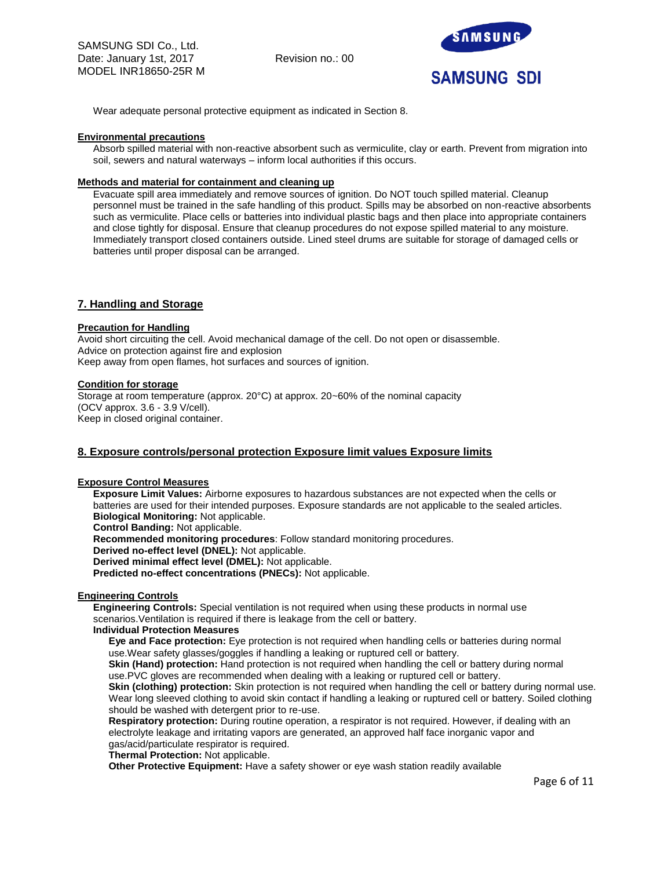

Wear adequate personal protective equipment as indicated in Section 8.

#### **Environmental precautions**

Absorb spilled material with non-reactive absorbent such as vermiculite, clay or earth. Prevent from migration into soil, sewers and natural waterways – inform local authorities if this occurs.

#### **Methods and material for containment and cleaning up**

Evacuate spill area immediately and remove sources of ignition. Do NOT touch spilled material. Cleanup personnel must be trained in the safe handling of this product. Spills may be absorbed on non-reactive absorbents such as vermiculite. Place cells or batteries into individual plastic bags and then place into appropriate containers and close tightly for disposal. Ensure that cleanup procedures do not expose spilled material to any moisture. Immediately transport closed containers outside. Lined steel drums are suitable for storage of damaged cells or batteries until proper disposal can be arranged.

## **7. Handling and Storage**

#### **Precaution for Handling**

Avoid short circuiting the cell. Avoid mechanical damage of the cell. Do not open or disassemble. Advice on protection against fire and explosion Keep away from open flames, hot surfaces and sources of ignition.

#### **Condition for storage**

Storage at room temperature (approx. 20°C) at approx. 20~60% of the nominal capacity (OCV approx. 3.6 - 3.9 V/cell). Keep in closed original container.

# **8. Exposure controls/personal protection Exposure limit values Exposure limits**

#### **Exposure Control Measures**

**Exposure Limit Values:** Airborne exposures to hazardous substances are not expected when the cells or batteries are used for their intended purposes. Exposure standards are not applicable to the sealed articles. **Biological Monitoring:** Not applicable.

**Control Banding:** Not applicable.

**Recommended monitoring procedures**: Follow standard monitoring procedures.

**Derived no-effect level (DNEL):** Not applicable.

**Derived minimal effect level (DMEL):** Not applicable.

**Predicted no-effect concentrations (PNECs):** Not applicable.

## **Engineering Controls**

**Engineering Controls:** Special ventilation is not required when using these products in normal use scenarios.Ventilation is required if there is leakage from the cell or battery.

#### **Individual Protection Measures**

**Eye and Face protection:** Eye protection is not required when handling cells or batteries during normal use.Wear safety glasses/goggles if handling a leaking or ruptured cell or battery.

**Skin (Hand) protection:** Hand protection is not required when handling the cell or battery during normal use.PVC gloves are recommended when dealing with a leaking or ruptured cell or battery.

**Skin (clothing) protection:** Skin protection is not required when handling the cell or battery during normal use. Wear long sleeved clothing to avoid skin contact if handling a leaking or ruptured cell or battery. Soiled clothing should be washed with detergent prior to re-use.

**Respiratory protection:** During routine operation, a respirator is not required. However, if dealing with an electrolyte leakage and irritating vapors are generated, an approved half face inorganic vapor and gas/acid/particulate respirator is required.

**Thermal Protection:** Not applicable.

**Other Protective Equipment:** Have a safety shower or eye wash station readily available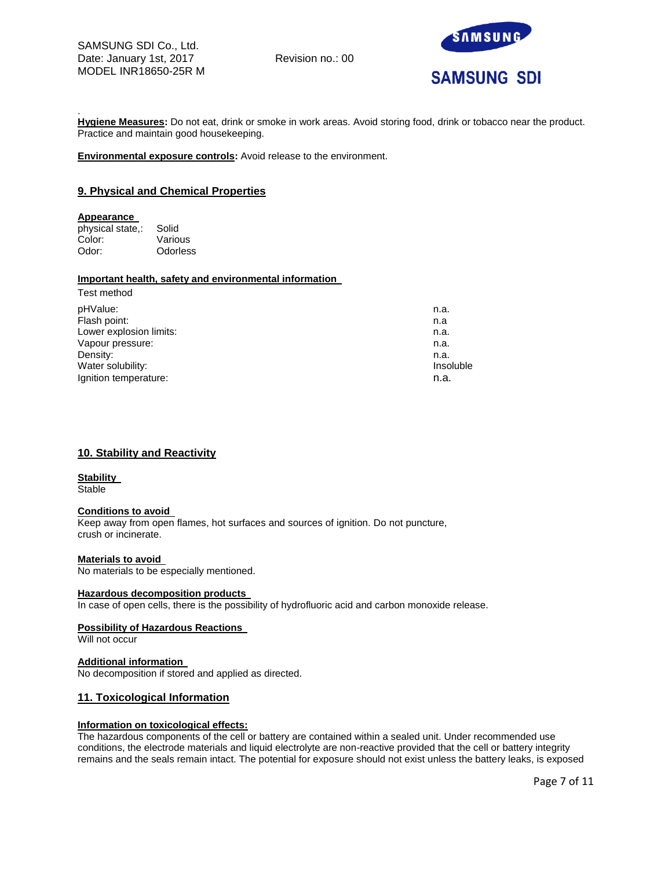

. **Hygiene Measures:** Do not eat, drink or smoke in work areas. Avoid storing food, drink or tobacco near the product. Practice and maintain good housekeeping.

**Environmental exposure controls:** Avoid release to the environment.

## **9. Physical and Chemical Properties**

#### **Appearance**

physical state,: Solid Color: Various Odor: Odorless

# **Important health, safety and environmental information**

| Test method             |                  |
|-------------------------|------------------|
| pHValue:                | n.a.             |
| Flash point:            | n.a              |
| Lower explosion limits: | n.a.             |
| Vapour pressure:        | n.a.             |
| Density:                | n.a.             |
| Water solubility:       | <b>Insoluble</b> |
| Ignition temperature:   | n.a.             |
|                         |                  |

# **10. Stability and Reactivity**

#### **Stability**

**Stable** 

#### **Conditions to avoid**

Keep away from open flames, hot surfaces and sources of ignition. Do not puncture, crush or incinerate.

#### **Materials to avoid**

No materials to be especially mentioned.

#### **Hazardous decomposition products**

In case of open cells, there is the possibility of hydrofluoric acid and carbon monoxide release.

#### **Possibility of Hazardous Reactions**

Will not occur

## **Additional information**

No decomposition if stored and applied as directed.

## **11. Toxicological Information**

## **Information on toxicological effects:**

The hazardous components of the cell or battery are contained within a sealed unit. Under recommended use conditions, the electrode materials and liquid electrolyte are non-reactive provided that the cell or battery integrity remains and the seals remain intact. The potential for exposure should not exist unless the battery leaks, is exposed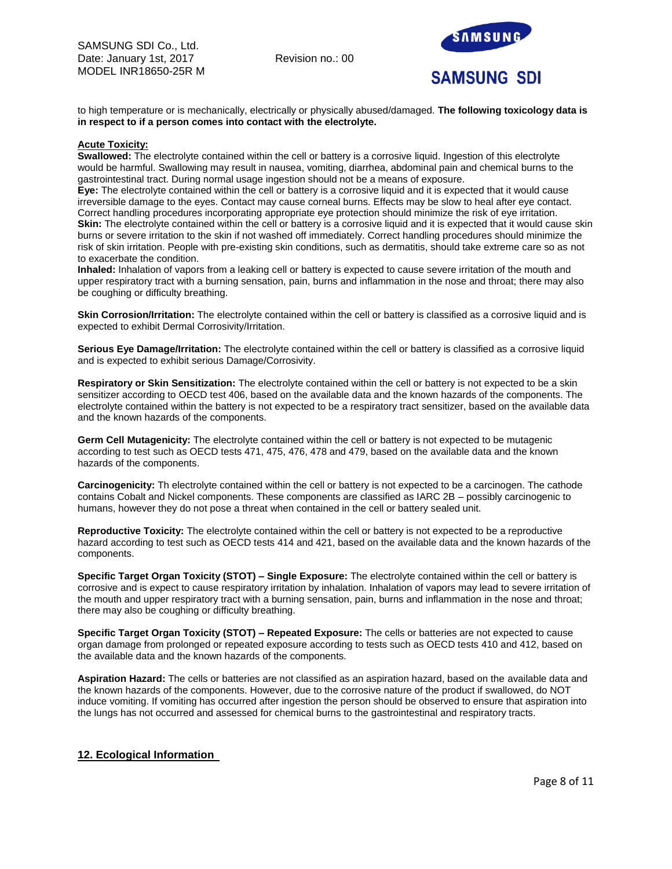

to high temperature or is mechanically, electrically or physically abused/damaged. **The following toxicology data is in respect to if a person comes into contact with the electrolyte.**

#### **Acute Toxicity:**

**Swallowed:** The electrolyte contained within the cell or battery is a corrosive liquid. Ingestion of this electrolyte would be harmful. Swallowing may result in nausea, vomiting, diarrhea, abdominal pain and chemical burns to the gastrointestinal tract. During normal usage ingestion should not be a means of exposure.

**Eye:** The electrolyte contained within the cell or battery is a corrosive liquid and it is expected that it would cause irreversible damage to the eyes. Contact may cause corneal burns. Effects may be slow to heal after eye contact. Correct handling procedures incorporating appropriate eye protection should minimize the risk of eye irritation. Skin: The electrolyte contained within the cell or battery is a corrosive liquid and it is expected that it would cause skin burns or severe irritation to the skin if not washed off immediately. Correct handling procedures should minimize the risk of skin irritation. People with pre-existing skin conditions, such as dermatitis, should take extreme care so as not to exacerbate the condition.

**Inhaled:** Inhalation of vapors from a leaking cell or battery is expected to cause severe irritation of the mouth and upper respiratory tract with a burning sensation, pain, burns and inflammation in the nose and throat; there may also be coughing or difficulty breathing.

**Skin Corrosion/Irritation:** The electrolyte contained within the cell or battery is classified as a corrosive liquid and is expected to exhibit Dermal Corrosivity/Irritation.

**Serious Eye Damage/Irritation:** The electrolyte contained within the cell or battery is classified as a corrosive liquid and is expected to exhibit serious Damage/Corrosivity.

**Respiratory or Skin Sensitization:** The electrolyte contained within the cell or battery is not expected to be a skin sensitizer according to OECD test 406, based on the available data and the known hazards of the components. The electrolyte contained within the battery is not expected to be a respiratory tract sensitizer, based on the available data and the known hazards of the components.

**Germ Cell Mutagenicity:** The electrolyte contained within the cell or battery is not expected to be mutagenic according to test such as OECD tests 471, 475, 476, 478 and 479, based on the available data and the known hazards of the components.

**Carcinogenicity:** Th electrolyte contained within the cell or battery is not expected to be a carcinogen. The cathode contains Cobalt and Nickel components. These components are classified as IARC 2B – possibly carcinogenic to humans, however they do not pose a threat when contained in the cell or battery sealed unit.

**Reproductive Toxicity:** The electrolyte contained within the cell or battery is not expected to be a reproductive hazard according to test such as OECD tests 414 and 421, based on the available data and the known hazards of the components.

**Specific Target Organ Toxicity (STOT) – Single Exposure:** The electrolyte contained within the cell or battery is corrosive and is expect to cause respiratory irritation by inhalation. Inhalation of vapors may lead to severe irritation of the mouth and upper respiratory tract with a burning sensation, pain, burns and inflammation in the nose and throat; there may also be coughing or difficulty breathing.

**Specific Target Organ Toxicity (STOT) – Repeated Exposure:** The cells or batteries are not expected to cause organ damage from prolonged or repeated exposure according to tests such as OECD tests 410 and 412, based on the available data and the known hazards of the components.

**Aspiration Hazard:** The cells or batteries are not classified as an aspiration hazard, based on the available data and the known hazards of the components. However, due to the corrosive nature of the product if swallowed, do NOT induce vomiting. If vomiting has occurred after ingestion the person should be observed to ensure that aspiration into the lungs has not occurred and assessed for chemical burns to the gastrointestinal and respiratory tracts.

## **12. Ecological Information**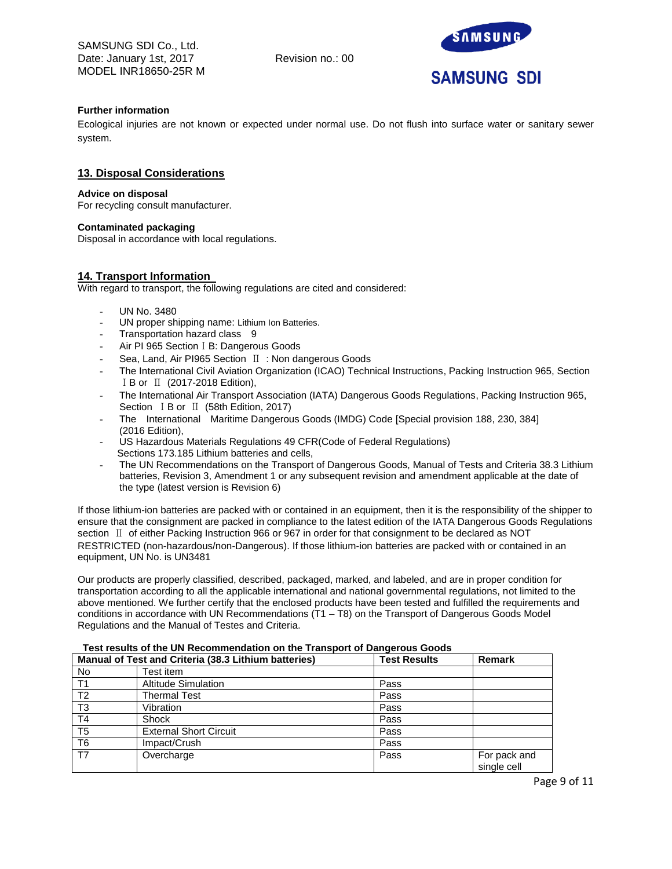SAMSUNG SDI Co., Ltd. Date: January 1st, 2017 Revision no.: 00 MODEL INR18650-25R M



## **Further information**

Ecological injuries are not known or expected under normal use. Do not flush into surface water or sanitary sewer system.

## **13. Disposal Considerations**

#### **Advice on disposal**

For recycling consult manufacturer.

## **Contaminated packaging**

Disposal in accordance with local regulations.

## **14. Transport Information**

With regard to transport, the following regulations are cited and considered:

- UN No. 3480
- UN proper shipping name: Lithium Ion Batteries.
- Transportation hazard class 9
- Air PI 965 Section I B: Dangerous Goods
- Sea, Land, Air PI965 Section Ⅱ : Non dangerous Goods
- The International Civil Aviation Organization (ICAO) Technical Instructions, Packing Instruction 965, Section ⅠB or Ⅱ (2017-2018 Edition),
- The International Air Transport Association (IATA) Dangerous Goods Regulations, Packing Instruction 965, Section ⅠB or Ⅱ (58th Edition, 2017)
- The International Maritime Dangerous Goods (IMDG) Code [Special provision 188, 230, 384] (2016 Edition),
- US Hazardous Materials Regulations 49 CFR(Code of Federal Regulations) Sections 173.185 Lithium batteries and cells,
- The UN Recommendations on the Transport of Dangerous Goods, Manual of Tests and Criteria 38.3 Lithium batteries, Revision 3, Amendment 1 or any subsequent revision and amendment applicable at the date of the type (latest version is Revision 6)

If those lithium-ion batteries are packed with or contained in an equipment, then it is the responsibility of the shipper to ensure that the consignment are packed in compliance to the latest edition of the IATA Dangerous Goods Regulations section Ⅱ of either Packing Instruction 966 or 967 in order for that consignment to be declared as NOT RESTRICTED (non-hazardous/non-Dangerous). If those lithium-ion batteries are packed with or contained in an equipment, UN No. is UN3481

Our products are properly classified, described, packaged, marked, and labeled, and are in proper condition for transportation according to all the applicable international and national governmental regulations, not limited to the above mentioned. We further certify that the enclosed products have been tested and fulfilled the requirements and conditions in accordance with UN Recommendations (T1 – T8) on the Transport of Dangerous Goods Model Regulations and the Manual of Testes and Criteria.

| Manual of Test and Criteria (38.3 Lithium batteries) |                               | <b>Test Results</b> | <b>Remark</b>               |
|------------------------------------------------------|-------------------------------|---------------------|-----------------------------|
| No                                                   | Test item                     |                     |                             |
| T1                                                   | <b>Altitude Simulation</b>    | Pass                |                             |
| T <sub>2</sub>                                       | <b>Thermal Test</b>           | Pass                |                             |
| T <sub>3</sub>                                       | Vibration                     | Pass                |                             |
| T <sub>4</sub>                                       | Shock                         | Pass                |                             |
| T <sub>5</sub>                                       | <b>External Short Circuit</b> | Pass                |                             |
| T <sub>6</sub>                                       | Impact/Crush                  | Pass                |                             |
| T7                                                   | Overcharge                    | Pass                | For pack and<br>single cell |

## **Test results of the UN Recommendation on the Transport of Dangerous Goods**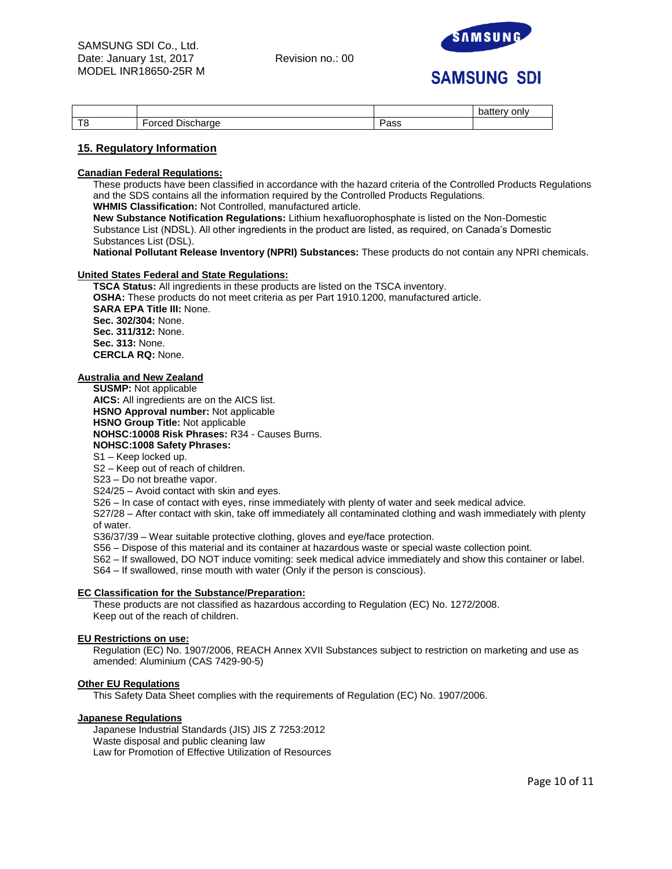

# **SAMSUNG SDI**

|            |                                                                                    |         | onlv<br>$\mathbf{v}$<br>υαιισι |
|------------|------------------------------------------------------------------------------------|---------|--------------------------------|
| — <i>—</i> | $\overline{\phantom{0}}$<br>-<br>$\sim$ nooc<br><b>Jischarge</b><br>ונ זי<br>u eta | <br>aoo |                                |

## **15. Regulatory Information**

#### **Canadian Federal Regulations:**

These products have been classified in accordance with the hazard criteria of the Controlled Products Regulations and the SDS contains all the information required by the Controlled Products Regulations.

**WHMIS Classification:** Not Controlled, manufactured article.

**New Substance Notification Regulations:** Lithium hexafluorophosphate is listed on the Non-Domestic Substance List (NDSL). All other ingredients in the product are listed, as required, on Canada's Domestic Substances List (DSL).

**National Pollutant Release Inventory (NPRI) Substances:** These products do not contain any NPRI chemicals.

## **United States Federal and State Regulations:**

**TSCA Status:** All ingredients in these products are listed on the TSCA inventory. **OSHA:** These products do not meet criteria as per Part 1910.1200, manufactured article. **SARA EPA Title III:** None. **Sec. 302/304:** None. **Sec. 311/312:** None. **Sec. 313:** None. **CERCLA RQ:** None.

## **Australia and New Zealand**

**SUSMP:** Not applicable

**AICS:** All ingredients are on the AICS list. **HSNO Approval number:** Not applicable **HSNO Group Title:** Not applicable **NOHSC:10008 Risk Phrases:** R34 - Causes Burns. **NOHSC:1008 Safety Phrases:** S1 – Keep locked up.

S2 – Keep out of reach of children.

S23 – Do not breathe vapor.

S24/25 – Avoid contact with skin and eyes.

S26 – In case of contact with eyes, rinse immediately with plenty of water and seek medical advice.

S27/28 – After contact with skin, take off immediately all contaminated clothing and wash immediately with plenty of water.

S36/37/39 – Wear suitable protective clothing, gloves and eye/face protection.

S56 – Dispose of this material and its container at hazardous waste or special waste collection point.

S62 – If swallowed, DO NOT induce vomiting: seek medical advice immediately and show this container or label.

S64 – If swallowed, rinse mouth with water (Only if the person is conscious).

## **EC Classification for the Substance/Preparation:**

These products are not classified as hazardous according to Regulation (EC) No. 1272/2008. Keep out of the reach of children.

## **EU Restrictions on use:**

Regulation (EC) No. 1907/2006, REACH Annex XVII Substances subject to restriction on marketing and use as amended: Aluminium (CAS 7429-90-5)

## **Other EU Regulations**

This Safety Data Sheet complies with the requirements of Regulation (EC) No. 1907/2006.

#### **Japanese Regulations**

Japanese Industrial Standards (JIS) JIS Z 7253:2012 Waste disposal and public cleaning law Law for Promotion of Effective Utilization of Resources